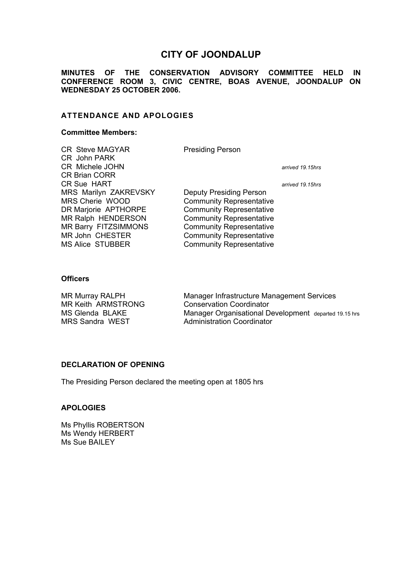# **CITY OF JOONDALUP**

**MINUTES OF THE CONSERVATION ADVISORY COMMITTEE HELD IN CONFERENCE ROOM 3, CIVIC CENTRE, BOAS AVENUE, JOONDALUP ON WEDNESDAY 25 OCTOBER 2006.** 

# **ATTENDANCE AND APOLOGIES**

#### **Committee Members:**

| <b>CR Steve MAGYAR</b><br>CR John PARK | <b>Presiding Person</b>         |                  |
|----------------------------------------|---------------------------------|------------------|
| <b>CR Michele JOHN</b>                 |                                 | arrived 19,15hrs |
| <b>CR Brian CORR</b>                   |                                 |                  |
| <b>CR Sue HART</b>                     |                                 | arrived 19.15hrs |
| MRS Marilyn ZAKREVSKY                  | <b>Deputy Presiding Person</b>  |                  |
| MRS Cherie WOOD                        | <b>Community Representative</b> |                  |
| DR Marjorie APTHORPE                   | <b>Community Representative</b> |                  |
| MR Ralph HENDERSON                     | <b>Community Representative</b> |                  |
| MR Barry FITZSIMMONS                   | <b>Community Representative</b> |                  |
| <b>MR John CHESTER</b>                 | <b>Community Representative</b> |                  |
| <b>MS Alice STUBBER</b>                | <b>Community Representative</b> |                  |

## **Officers**

MR Keith ARMSTRONG Conservation Coordinator

MR Murray RALPH Manager Infrastructure Management Services MS Glenda BLAKE Manager Organisational Development departed 19.15 hrs<br>MRS Sandra WEST Administration Coordinator Administration Coordinator

#### **DECLARATION OF OPENING**

The Presiding Person declared the meeting open at 1805 hrs

# **APOLOGIES**

Ms Phyllis ROBERTSON Ms Wendy HERBERT Ms Sue BAILEY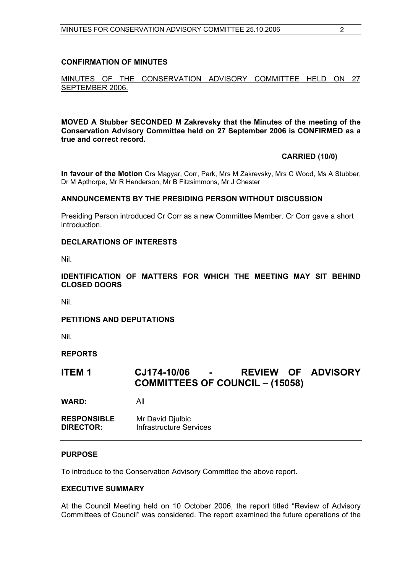## **CONFIRMATION OF MINUTES**

# MINUTES OF THE CONSERVATION ADVISORY COMMITTEE HELD ON 27 SEPTEMBER 2006.

**MOVED A Stubber SECONDED M Zakrevsky that the Minutes of the meeting of the Conservation Advisory Committee held on 27 September 2006 is CONFIRMED as a true and correct record.** 

#### **CARRIED (10/0)**

**In favour of the Motion** Crs Magyar, Corr, Park, Mrs M Zakrevsky, Mrs C Wood, Ms A Stubber, Dr M Apthorpe, Mr R Henderson, Mr B Fitzsimmons, Mr J Chester

#### **ANNOUNCEMENTS BY THE PRESIDING PERSON WITHOUT DISCUSSION**

Presiding Person introduced Cr Corr as a new Committee Member. Cr Corr gave a short introduction.

## **DECLARATIONS OF INTERESTS**

Nil.

# **IDENTIFICATION OF MATTERS FOR WHICH THE MEETING MAY SIT BEHIND CLOSED DOORS**

Nil.

# **PETITIONS AND DEPUTATIONS**

Nil.

# **REPORTS**

# **ITEM 1 CJ174-10/06 - REVIEW OF ADVISORY COMMITTEES OF COUNCIL – (15058)**

**WARD:** All

**RESPONSIBLE** Mr David Djulbic **DIRECTOR:** Infrastructure Services

#### **PURPOSE**

To introduce to the Conservation Advisory Committee the above report.

#### **EXECUTIVE SUMMARY**

At the Council Meeting held on 10 October 2006, the report titled "Review of Advisory Committees of Council" was considered. The report examined the future operations of the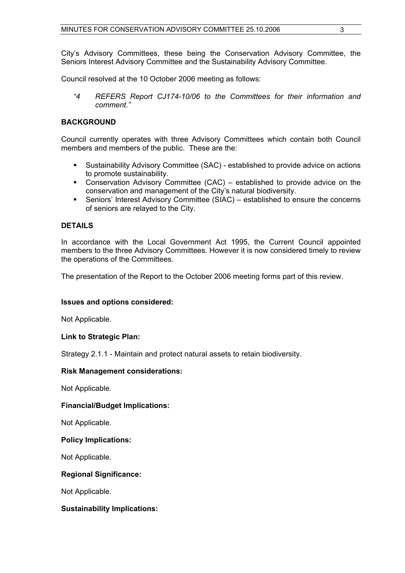City's Advisory Committees, these being the Conservation Advisory Committee, the Seniors Interest Advisory Committee and the Sustainability Advisory Committee.

Council resolved at the 10 October 2006 meeting as follows:

 *"4 REFERS Report CJ174-10/06 to the Committees for their information and comment."* 

# **BACKGROUND**

Council currently operates with three Advisory Committees which contain both Council members and members of the public. These are the:

- Sustainability Advisory Committee (SAC) established to provide advice on actions to promote sustainability.
- Conservation Advisory Committee (CAC) established to provide advice on the conservation and management of the City's natural biodiversity.
- Seniors' Interest Advisory Committee (SIAC) established to ensure the concerns of seniors are relayed to the City.

# **DETAILS**

In accordance with the Local Government Act 1995, the Current Council appointed members to the three Advisory Committees. However it is now considered timely to review the operations of the Committees.

The presentation of the Report to the October 2006 meeting forms part of this review.

# **Issues and options considered:**

Not Applicable.

# **Link to Strategic Plan:**

Strategy 2.1.1 - Maintain and protect natural assets to retain biodiversity.

# **Risk Management considerations:**

Not Applicable.

# **Financial/Budget Implications:**

Not Applicable.

## **Policy Implications:**

Not Applicable.

# **Regional Significance:**

Not Applicable.

# **Sustainability Implications:**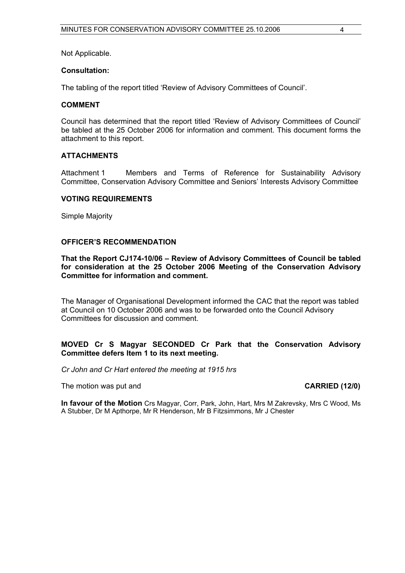Not Applicable.

#### **Consultation:**

The tabling of the report titled 'Review of Advisory Committees of Council'.

#### **COMMENT**

Council has determined that the report titled 'Review of Advisory Committees of Council' be tabled at the 25 October 2006 for information and comment. This document forms the attachment to this report.

#### **ATTACHMENTS**

Attachment 1 Members and Terms of Reference for Sustainability Advisory Committee, Conservation Advisory Committee and Seniors' Interests Advisory Committee

#### **VOTING REQUIREMENTS**

Simple Majority

#### **OFFICER'S RECOMMENDATION**

**That the Report CJ174-10/06 – Review of Advisory Committees of Council be tabled for consideration at the 25 October 2006 Meeting of the Conservation Advisory Committee for information and comment.** 

The Manager of Organisational Development informed the CAC that the report was tabled at Council on 10 October 2006 and was to be forwarded onto the Council Advisory Committees for discussion and comment.

## **MOVED Cr S Magyar SECONDED Cr Park that the Conservation Advisory Committee defers Item 1 to its next meeting.**

*Cr John and Cr Hart entered the meeting at 1915 hrs* 

The motion was put and **CARRIED (12/0) CARRIED** (12/0)

**In favour of the Motion** Crs Magyar, Corr, Park, John, Hart, Mrs M Zakrevsky, Mrs C Wood, Ms A Stubber, Dr M Apthorpe, Mr R Henderson, Mr B Fitzsimmons, Mr J Chester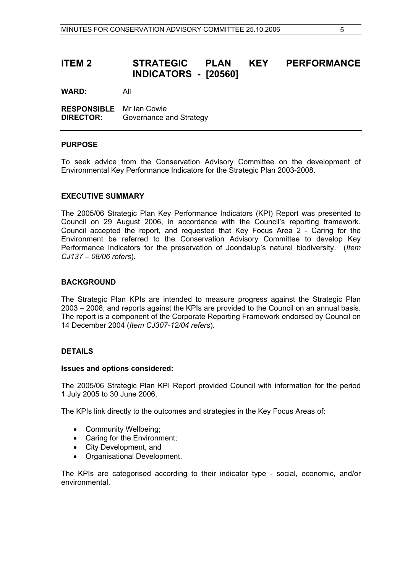# **ITEM 2 STRATEGIC PLAN KEY PERFORMANCE INDICATORS - [20560]**

**WARD:** All

**RESPONSIBLE** Mr Ian Cowie **DIRECTOR:** Governance and Strategy

#### **PURPOSE**

To seek advice from the Conservation Advisory Committee on the development of Environmental Key Performance Indicators for the Strategic Plan 2003-2008.

## **EXECUTIVE SUMMARY**

The 2005/06 Strategic Plan Key Performance Indicators (KPI) Report was presented to Council on 29 August 2006, in accordance with the Council's reporting framework. Council accepted the report, and requested that Key Focus Area 2 - Caring for the Environment be referred to the Conservation Advisory Committee to develop Key Performance Indicators for the preservation of Joondalup's natural biodiversity. (*Item CJ137 – 08/06 refers*).

## **BACKGROUND**

The Strategic Plan KPIs are intended to measure progress against the Strategic Plan 2003 – 2008, and reports against the KPIs are provided to the Council on an annual basis. The report is a component of the Corporate Reporting Framework endorsed by Council on 14 December 2004 (*Item CJ307-12/04 refers*).

# **DETAILS**

#### **Issues and options considered:**

The 2005/06 Strategic Plan KPI Report provided Council with information for the period 1 July 2005 to 30 June 2006.

The KPIs link directly to the outcomes and strategies in the Key Focus Areas of:

- Community Wellbeing;
- Caring for the Environment;
- City Development, and
- Organisational Development.

The KPIs are categorised according to their indicator type - social, economic, and/or environmental.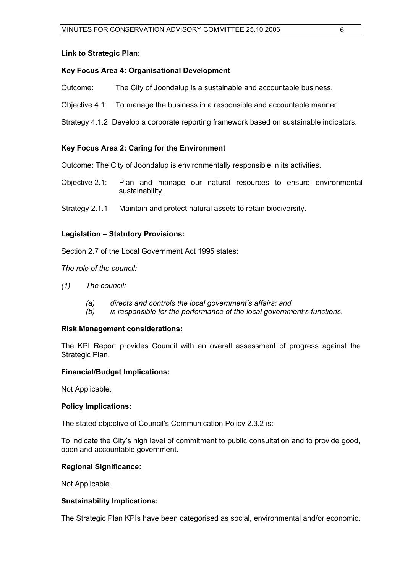### **Link to Strategic Plan:**

# **Key Focus Area 4: Organisational Development**

- Outcome: The City of Joondalup is a sustainable and accountable business.
- Objective 4.1: To manage the business in a responsible and accountable manner.

Strategy 4.1.2: Develop a corporate reporting framework based on sustainable indicators.

# **Key Focus Area 2: Caring for the Environment**

Outcome: The City of Joondalup is environmentally responsible in its activities.

- Objective 2.1: Plan and manage our natural resources to ensure environmental sustainability.
- Strategy 2.1.1: Maintain and protect natural assets to retain biodiversity.

# **Legislation – Statutory Provisions:**

Section 2.7 of the Local Government Act 1995 states:

*The role of the council:* 

- *(1) The council:*
	- *(a) directs and controls the local government's affairs; and*
	- *(b) is responsible for the performance of the local government's functions.*

#### **Risk Management considerations:**

The KPI Report provides Council with an overall assessment of progress against the Strategic Plan.

#### **Financial/Budget Implications:**

Not Applicable.

#### **Policy Implications:**

The stated objective of Council's Communication Policy 2.3.2 is:

To indicate the City's high level of commitment to public consultation and to provide good, open and accountable government.

#### **Regional Significance:**

Not Applicable.

#### **Sustainability Implications:**

The Strategic Plan KPIs have been categorised as social, environmental and/or economic.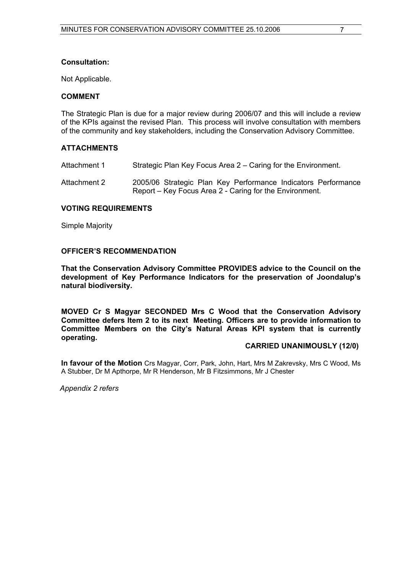## **Consultation:**

Not Applicable.

## **COMMENT**

The Strategic Plan is due for a major review during 2006/07 and this will include a review of the KPIs against the revised Plan. This process will involve consultation with members of the community and key stakeholders, including the Conservation Advisory Committee.

## **ATTACHMENTS**

Attachment 1 Strategic Plan Key Focus Area 2 – Caring for the Environment.

Attachment 2 2005/06 Strategic Plan Key Performance Indicators Performance Report – Key Focus Area 2 - Caring for the Environment.

## **VOTING REQUIREMENTS**

Simple Majority

## **OFFICER'S RECOMMENDATION**

**That the Conservation Advisory Committee PROVIDES advice to the Council on the development of Key Performance Indicators for the preservation of Joondalup's natural biodiversity.** 

**MOVED Cr S Magyar SECONDED Mrs C Wood that the Conservation Advisory Committee defers Item 2 to its next Meeting. Officers are to provide information to Committee Members on the City's Natural Areas KPI system that is currently operating.**

#### **CARRIED UNANIMOUSLY (12/0)**

**In favour of the Motion** Crs Magyar, Corr, Park, John, Hart, Mrs M Zakrevsky, Mrs C Wood, Ms A Stubber, Dr M Apthorpe, Mr R Henderson, Mr B Fitzsimmons, Mr J Chester

 *Appendix 2 refers*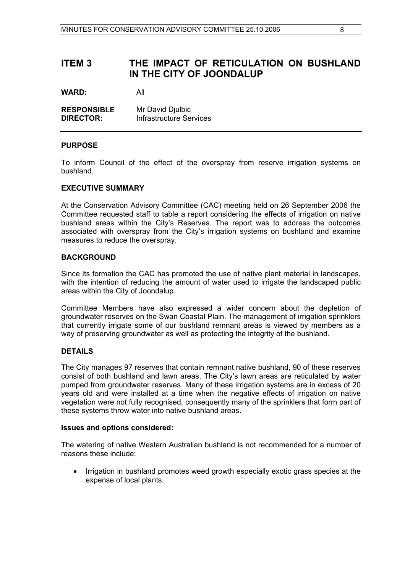# **ITEM 3 THE IMPACT OF RETICULATION ON BUSHLAND IN THE CITY OF JOONDALUP**

**WARD:** All

| <b>RESPONSIBLE</b> | Mr David Djulbic        |
|--------------------|-------------------------|
| <b>DIRECTOR:</b>   | Infrastructure Services |

## **PURPOSE**

To inform Council of the effect of the overspray from reserve irrigation systems on bushland.

## **EXECUTIVE SUMMARY**

At the Conservation Advisory Committee (CAC) meeting held on 26 September 2006 the Committee requested staff to table a report considering the effects of irrigation on native bushland areas within the City's Reserves. The report was to address the outcomes associated with overspray from the City's irrigation systems on bushland and examine measures to reduce the overspray.

## **BACKGROUND**

Since its formation the CAC has promoted the use of native plant material in landscapes, with the intention of reducing the amount of water used to irrigate the landscaped public areas within the City of Joondalup.

Committee Members have also expressed a wider concern about the depletion of groundwater reserves on the Swan Coastal Plain. The management of irrigation sprinklers that currently irrigate some of our bushland remnant areas is viewed by members as a way of preserving groundwater as well as protecting the integrity of the bushland.

# **DETAILS**

The City manages 97 reserves that contain remnant native bushland, 90 of these reserves consist of both bushland and lawn areas. The City's lawn areas are reticulated by water pumped from groundwater reserves. Many of these irrigation systems are in excess of 20 years old and were installed at a time when the negative effects of irrigation on native vegetation were not fully recognised, consequently many of the sprinklers that form part of these systems throw water into native bushland areas.

#### **Issues and options considered:**

The watering of native Western Australian bushland is not recommended for a number of reasons these include:

• Irrigation in bushland promotes weed growth especially exotic grass species at the expense of local plants.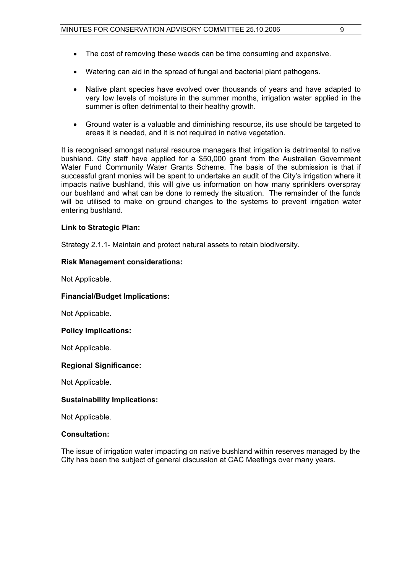- The cost of removing these weeds can be time consuming and expensive.
- Watering can aid in the spread of fungal and bacterial plant pathogens.
- Native plant species have evolved over thousands of years and have adapted to very low levels of moisture in the summer months, irrigation water applied in the summer is often detrimental to their healthy growth.
- Ground water is a valuable and diminishing resource, its use should be targeted to areas it is needed, and it is not required in native vegetation.

It is recognised amongst natural resource managers that irrigation is detrimental to native bushland. City staff have applied for a \$50,000 grant from the Australian Government Water Fund Community Water Grants Scheme. The basis of the submission is that if successful grant monies will be spent to undertake an audit of the City's irrigation where it impacts native bushland, this will give us information on how many sprinklers overspray our bushland and what can be done to remedy the situation. The remainder of the funds will be utilised to make on ground changes to the systems to prevent irrigation water entering bushland.

# **Link to Strategic Plan:**

Strategy 2.1.1- Maintain and protect natural assets to retain biodiversity.

## **Risk Management considerations:**

Not Applicable.

#### **Financial/Budget Implications:**

Not Applicable.

#### **Policy Implications:**

Not Applicable.

# **Regional Significance:**

Not Applicable.

# **Sustainability Implications:**

Not Applicable.

#### **Consultation:**

The issue of irrigation water impacting on native bushland within reserves managed by the City has been the subject of general discussion at CAC Meetings over many years.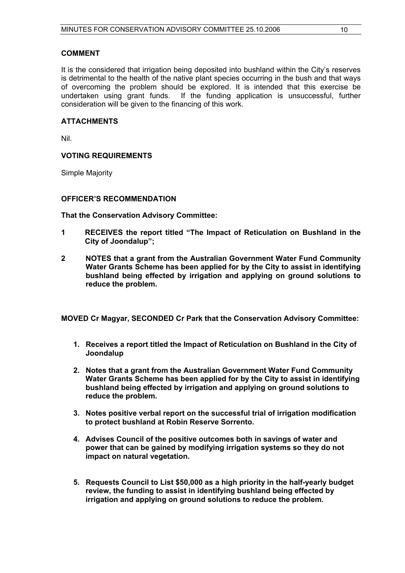## **COMMENT**

It is the considered that irrigation being deposited into bushland within the City's reserves is detrimental to the health of the native plant species occurring in the bush and that ways of overcoming the problem should be explored. It is intended that this exercise be undertaken using grant funds. If the funding application is unsuccessful, further consideration will be given to the financing of this work.

#### **ATTACHMENTS**

Nil.

# **VOTING REQUIREMENTS**

Simple Majority

#### **OFFICER'S RECOMMENDATION**

**That the Conservation Advisory Committee:** 

- **1 RECEIVES the report titled "The Impact of Reticulation on Bushland in the City of Joondalup";**
- **2 NOTES that a grant from the Australian Government Water Fund Community Water Grants Scheme has been applied for by the City to assist in identifying bushland being effected by irrigation and applying on ground solutions to reduce the problem.**

**MOVED Cr Magyar, SECONDED Cr Park that the Conservation Advisory Committee:** 

- **1. Receives a report titled the Impact of Reticulation on Bushland in the City of Joondalup**
- **2. Notes that a grant from the Australian Government Water Fund Community Water Grants Scheme has been applied for by the City to assist in identifying bushland being effected by irrigation and applying on ground solutions to reduce the problem.**
- **3. Notes positive verbal report on the successful trial of irrigation modification to protect bushland at Robin Reserve Sorrento.**
- **4. Advises Council of the positive outcomes both in savings of water and power that can be gained by modifying irrigation systems so they do not impact on natural vegetation.**
- **5. Requests Council to List \$50,000 as a high priority in the half-yearly budget review, the funding to assist in identifying bushland being effected by irrigation and applying on ground solutions to reduce the problem.**